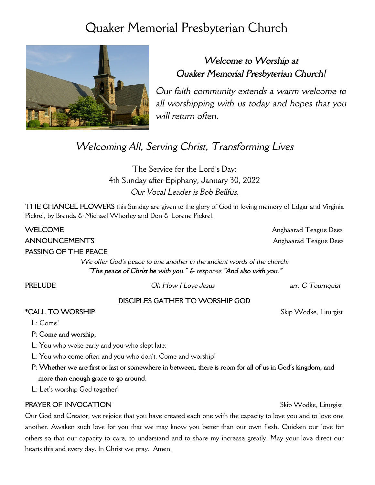# Quaker Memorial Presbyterian Church



# *Welcome to Worship at Quaker Memorial Presbyterian Church!*

*Our faith community extends a warm welcome to all worshipping with us today and hopes that you will return often.*

# *Welcoming All, Serving Christ, Transforming Lives*

The Service for the Lord's Day; 4th Sunday after Epiphany; January 30, 2022 *Our Vocal Leader is Bob Beilfus.*

**THE CHANCEL FLOWERS** this Sunday are given to the glory of God in loving memory of Edgar and Virginia Pickrel, by Brenda & Michael Whorley and Don & Lorene Pickrel.

**WELCOME** Anghaarad Teague Dees

**ANNOUNCEMENTS** Anghaarad Teague Dees

**PASSING OF THE PEACE**

*We offer God's peace to one another in the ancient words of the church: "The peace of Christ be with you." & response "And also with you."*

**PRELUDE** *Oh How I Love Jesus arr. C Tournquist* 

# **DISCIPLES GATHER TO WORSHIP GOD**

## **\*CALL TO WORSHIP** Skip Wodke, Liturgist

L: Come!

## **P: Come and worship,**

- L: You who woke early and you who slept late;
- L: You who come often and you who don't. Come and worship!
- **P: Whether we are first or last or somewhere in between, there is room for all of us in God's kingdom, and more than enough grace to go around.**
- L: Let's worship God together!

# **PRAYER OF INVOCATION** *PRAYER OF INVOCATION*

Our God and Creator, we rejoice that you have created each one with the capacity to love you and to love one another. Awaken such love for you that we may know you better than our own flesh. Quicken our love for others so that our capacity to care, to understand and to share my increase greatly. May your love direct our hearts this and every day. In Christ we pray. Amen.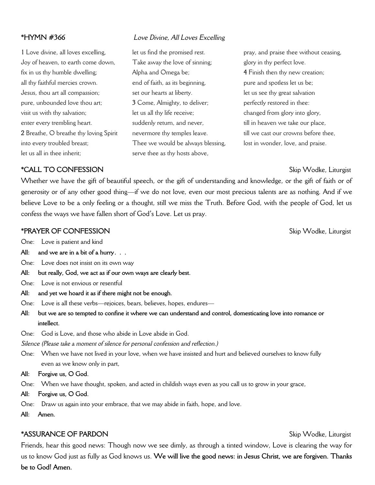**1** Love divine, all loves excelling, Joy of heaven, to earth come down, fix in us thy humble dwelling; all thy faithful mercies crown. Jesus, thou art all compassion; pure, unbounded love thou art; visit us with thy salvation; enter every trembling heart. **2** Breathe, O breathe thy loving Spirit into every troubled breast; let us all in thee inherit;

# **\*HYMN #366** *Love Divine, All Loves Excelling*

let us find the promised rest. Take away the love of sinning; Alpha and Omega be; end of faith, as its beginning, set our hearts at liberty. **3** Come, Almighty, to deliver; let us all thy life receive; suddenly return, and never, nevermore thy temples leave. Thee we would be always blessing, serve thee as thy hosts above,

pray, and praise thee without ceasing, glory in thy perfect love. **4** Finish then thy new creation; pure and spotless let us be; let us see thy great salvation perfectly restored in thee: changed from glory into glory, till in heaven we take our place, till we cast our crowns before thee, lost in wonder, love, and praise.

# **\*CALL TO CONFESSION** Skip Wodke, Liturgist

Whether we have the gift of beautiful speech, or the gift of understanding and knowledge, or the gift of faith or of generosity or of any other good thing—if we do not love, even our most precious talents are as nothing. And if we believe Love to be a only feeling or a thought, still we miss the Truth. Before God, with the people of God, let us confess the ways we have fallen short of God's Love. Let us pray.

## **\*PRAYER OF CONFESSION** Skip Wodke, Liturgist

One: Love is patient and kind

- **All: and we are in a bit of a hurry…**
- One: Love does not insist on its own way
- **All: but really, God, we act as if our own ways are clearly best.**
- One: Love is not envious or resentful
- **All: and yet we hoard it as if there might not be enough.**
- One: Love is all these verbs—rejoices, bears, believes, hopes, endures—
- **All: but we are so tempted to confine it where we can understand and control, domesticating love into romance or intellect.**
- One: God is Love, and those who abide in Love abide in God.

*Silence (Please take a moment of silence for personal confession and reflection.)*

- One: When we have not lived in your love, when we have insisted and hurt and believed ourselves to know fully even as we know only in part,
- **All: Forgive us, O God.**

One: When we have thought, spoken, and acted in childish ways even as you call us to grow in your grace,

**All: Forgive us, O God.**

One: Draw us again into your embrace, that we may abide in faith, hope, and love.

**All: Amen.**

# **\*ASSURANCE OF PARDON Skip Wodke, Liturgist**

Friends, hear this good news: Though now we see dimly, as through a tinted window, Love is clearing the way for us to know God just as fully as God knows us. **We will live the good news: in Jesus Christ, we are forgiven. Thanks be to God! Amen.**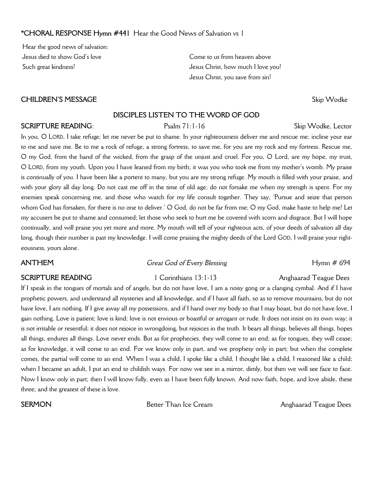## **\*CHORAL RESPONSE Hymn #441** Hear the Good News of Salvation vs 1

Hear the good news of salvation: Jesus died to show God's love Such great kindness!

#### **CHILDREN'S MESSAGE** Skip Wodke

## **DISCIPLES LISTEN TO THE WORD OF GOD**

### **SCRIPTURE READING**: Psalm 71:1-16 Psalm 71:1-16 Skip Wodke, Lector

In you, O LORD, I take refuge; let me never be put to shame. In your righteousness deliver me and rescue me; incline your ear to me and save me. Be to me a rock of refuge, a strong fortress, to save me, for you are my rock and my fortress. Rescue me, O my God, from the hand of the wicked, from the grasp of the unjust and cruel. For you, O Lord, are my hope, my trust, O LORD, from my youth. Upon you I have leaned from my birth; it was you who took me from my mother's womb. My praise is continually of you. I have been like a portent to many, but you are my strong refuge. My mouth is filled with your praise, and with your glory all day long. Do not cast me off in the time of old age; do not forsake me when my strength is spent. For my enemies speak concerning me, and those who watch for my life consult together. They say, 'Pursue and seize that person whom God has forsaken, for there is no one to deliver.' O God, do not be far from me; O my God, make haste to help me! Let my accusers be put to shame and consumed; let those who seek to hurt me be covered with scorn and disgrace. But I will hope continually, and will praise you yet more and more. My mouth will tell of your righteous acts, of your deeds of salvation all day long, though their number is past my knowledge. I will come praising the mighty deeds of the Lord GOD, I will praise your righteousness, yours alone.

## **ANTHEM Great God of Every Blessing Hymn # 694**

# **SCRIPTURE READING** 1 Corinthians 13:1-13 Anghaarad Teague Dees

If I speak in the tongues of mortals and of angels, but do not have love, I am a noisy gong or a clanging cymbal. And if I have prophetic powers, and understand all mysteries and all knowledge, and if I have all faith, so as to remove mountains, but do not have love, I am nothing. If I give away all my possessions, and if I hand over my body so that I may boast, but do not have love, I gain nothing. Love is patient; love is kind; love is not envious or boastful or arrogant or rude. It does not insist on its own way; it is not irritable or resentful; it does not rejoice in wrongdoing, but rejoices in the truth. It bears all things, believes all things, hopes all things, endures all things. Love never ends. But as for prophecies, they will come to an end; as for tongues, they will cease; as for knowledge, it will come to an end. For we know only in part, and we prophesy only in part; but when the complete comes, the partial will come to an end. When I was a child, I spoke like a child, I thought like a child, I reasoned like a child; when I became an adult, I put an end to childish ways. For now we see in a mirror, dimly, but then we will see face to face. Now I know only in part; then I will know fully, even as I have been fully known. And now faith, hope, and love abide, these three; and the greatest of these is love.

**SERMON** Better Than Ice Cream Anghaarad Teague Dees

Come to us from heaven above Jesus Christ, how much I love you! Jesus Christ, you save from sin!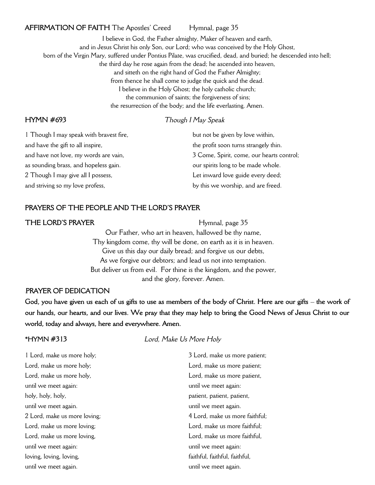# **AFFIRMATION OF FAITH** The Apostles' Creed Hymnal, page 35

I believe in God, the Father almighty, Maker of heaven and earth, and in Jesus Christ his only Son, our Lord; who was conceived by the Holy Ghost, born of the Virgin Mary, suffered under Pontius Pilate, was crucified, dead, and buried; he descended into hell; the third day he rose again from the dead; he ascended into heaven, and sitteth on the right hand of God the Father Almighty; from thence he shall come to judge the quick and the dead. I believe in the Holy Ghost; the holy catholic church; the communion of saints; the forgiveness of sins; the resurrection of the body; and the life everlasting. Amen.

#### **HYMN #693** *Though I May Speak*

| 1 Though I may speak with bravest fire, | but not be given by love within,          |
|-----------------------------------------|-------------------------------------------|
| and have the gift to all inspire,       | the profit soon turns strangely thin.     |
| and have not love, my words are vain,   | 3 Come, Spirit, come, our hearts control; |
| as sounding brass, and hopeless gain.   | our spirits long to be made whole.        |
| 2 Though I may give all I possess,      | Let inward love guide every deed;         |
| and striving so my love profess,        | by this we worship, and are freed.        |

## **PRAYERS OF THE PEOPLE AND THE LORD'S PRAYER**

### **THE LORD'S PRAYER** Hymnal, page 35

Our Father, who art in heaven, hallowed be thy name, Thy kingdom come, thy will be done, on earth as it is in heaven. Give us this day our daily bread; and forgive us our debts, As we forgive our debtors; and lead us not into temptation. But deliver us from evil. For thine is the kingdom, and the power, and the glory, forever. Amen.

### \**PRAYER OF DEDICATION**

**God, you have given us each of us gifts to use as members of the body of Christ. Here are our gifts – the work of our hands, our hearts, and our lives. We pray that they may help to bring the Good News of Jesus Christ to our world, today and always, here and everywhere. Amen.**

#### **\*HYMN #313** *Lord, Make Us More Holy*

| 1 Lord, make us more holy;   | 3 Lord, make us more patient;  |
|------------------------------|--------------------------------|
| Lord, make us more holy;     | Lord, make us more patient;    |
| Lord, make us more holy,     | Lord, make us more patient,    |
| until we meet again:         | until we meet again:           |
| holy, holy, holy,            | patient, patient, patient,     |
| until we meet again.         | until we meet again.           |
| 2 Lord, make us more loving; | 4 Lord, make us more faithful; |
| Lord, make us more loving;   | Lord, make us more faithful;   |
| Lord, make us more loving,   | Lord, make us more faithful,   |
| until we meet again:         | until we meet again:           |
| loving, loving, loving,      | faithful, faithful, faithful,  |
| until we meet again.         | until we meet again.           |